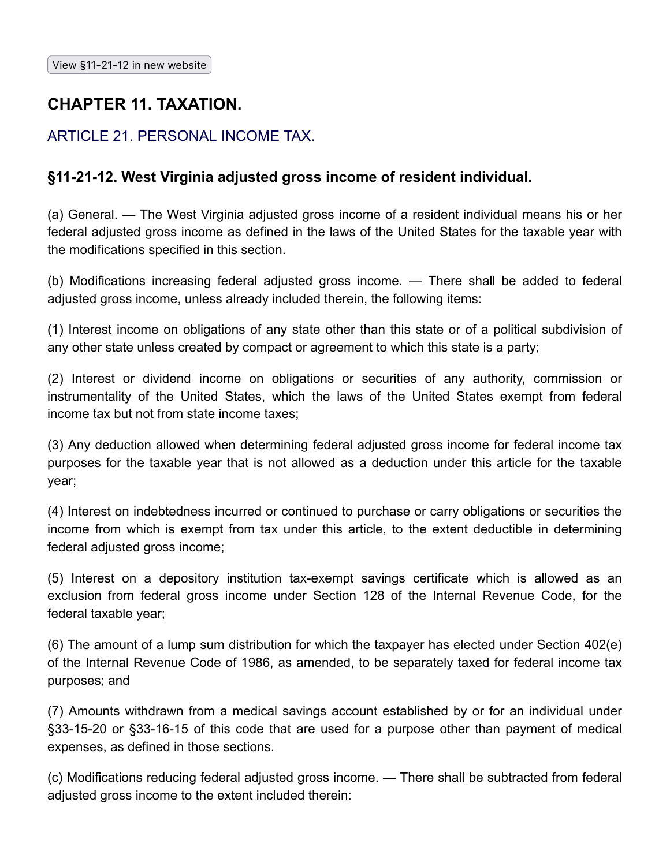## **CHAPTER 11. TAXATION.**

## ARTICLE 21. PERSONAL INCOME TAX.

## **§11-21-12. West Virginia adjusted gross income of resident individual.**

(a) General. — The West Virginia adjusted gross income of a resident individual means his or her federal adjusted gross income as defined in the laws of the United States for the taxable year with the modifications specified in this section.

(b) Modifications increasing federal adjusted gross income. — There shall be added to federal adjusted gross income, unless already included therein, the following items:

(1) Interest income on obligations of any state other than this state or of a political subdivision of any other state unless created by compact or agreement to which this state is a party;

(2) Interest or dividend income on obligations or securities of any authority, commission or instrumentality of the United States, which the laws of the United States exempt from federal income tax but not from state income taxes;

(3) Any deduction allowed when determining federal adjusted gross income for federal income tax purposes for the taxable year that is not allowed as a deduction under this article for the taxable year;

(4) Interest on indebtedness incurred or continued to purchase or carry obligations or securities the income from which is exempt from tax under this article, to the extent deductible in determining federal adjusted gross income;

(5) Interest on a depository institution tax-exempt savings certificate which is allowed as an exclusion from federal gross income under Section 128 of the Internal Revenue Code, for the federal taxable year;

(6) The amount of a lump sum distribution for which the taxpayer has elected under Section 402(e) of the Internal Revenue Code of 1986, as amended, to be separately taxed for federal income tax purposes; and

(7) Amounts withdrawn from a medical savings account established by or for an individual under §33-15-20 or §33-16-15 of this code that are used for a purpose other than payment of medical expenses, as defined in those sections.

(c) Modifications reducing federal adjusted gross income. — There shall be subtracted from federal adjusted gross income to the extent included therein: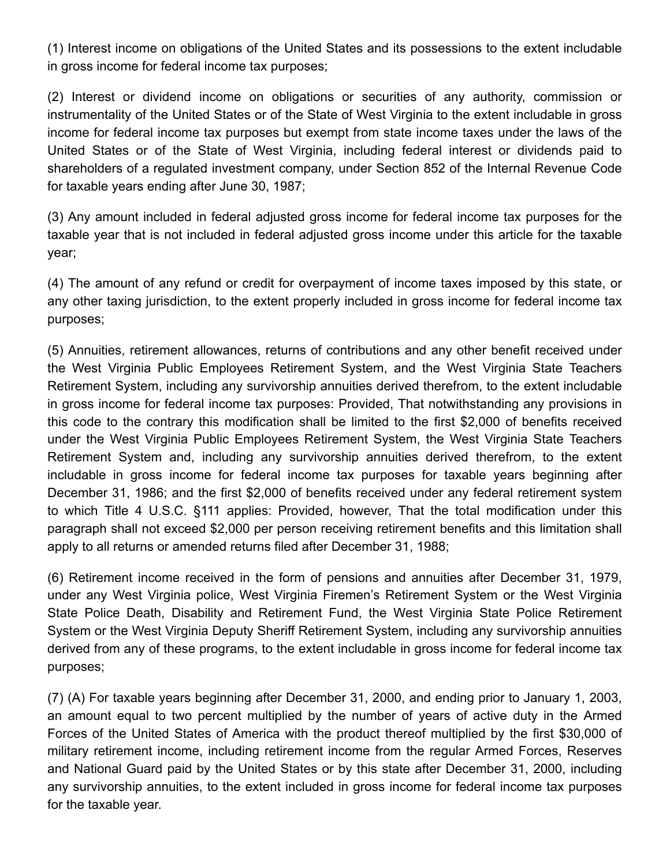(1) Interest income on obligations of the United States and its possessions to the extent includable in gross income for federal income tax purposes;

(2) Interest or dividend income on obligations or securities of any authority, commission or instrumentality of the United States or of the State of West Virginia to the extent includable in gross income for federal income tax purposes but exempt from state income taxes under the laws of the United States or of the State of West Virginia, including federal interest or dividends paid to shareholders of a regulated investment company, under Section 852 of the Internal Revenue Code for taxable years ending after June 30, 1987;

(3) Any amount included in federal adjusted gross income for federal income tax purposes for the taxable year that is not included in federal adjusted gross income under this article for the taxable year;

(4) The amount of any refund or credit for overpayment of income taxes imposed by this state, or any other taxing jurisdiction, to the extent properly included in gross income for federal income tax purposes;

(5) Annuities, retirement allowances, returns of contributions and any other benefit received under the West Virginia Public Employees Retirement System, and the West Virginia State Teachers Retirement System, including any survivorship annuities derived therefrom, to the extent includable in gross income for federal income tax purposes: Provided, That notwithstanding any provisions in this code to the contrary this modification shall be limited to the first \$2,000 of benefits received under the West Virginia Public Employees Retirement System, the West Virginia State Teachers Retirement System and, including any survivorship annuities derived therefrom, to the extent includable in gross income for federal income tax purposes for taxable years beginning after December 31, 1986; and the first \$2,000 of benefits received under any federal retirement system to which Title 4 U.S.C. §111 applies: Provided, however, That the total modification under this paragraph shall not exceed \$2,000 per person receiving retirement benefits and this limitation shall apply to all returns or amended returns filed after December 31, 1988;

(6) Retirement income received in the form of pensions and annuities after December 31, 1979, under any West Virginia police, West Virginia Firemen's Retirement System or the West Virginia State Police Death, Disability and Retirement Fund, the West Virginia State Police Retirement System or the West Virginia Deputy Sheriff Retirement System, including any survivorship annuities derived from any of these programs, to the extent includable in gross income for federal income tax purposes;

(7) (A) For taxable years beginning after December 31, 2000, and ending prior to January 1, 2003, an amount equal to two percent multiplied by the number of years of active duty in the Armed Forces of the United States of America with the product thereof multiplied by the first \$30,000 of military retirement income, including retirement income from the regular Armed Forces, Reserves and National Guard paid by the United States or by this state after December 31, 2000, including any survivorship annuities, to the extent included in gross income for federal income tax purposes for the taxable year.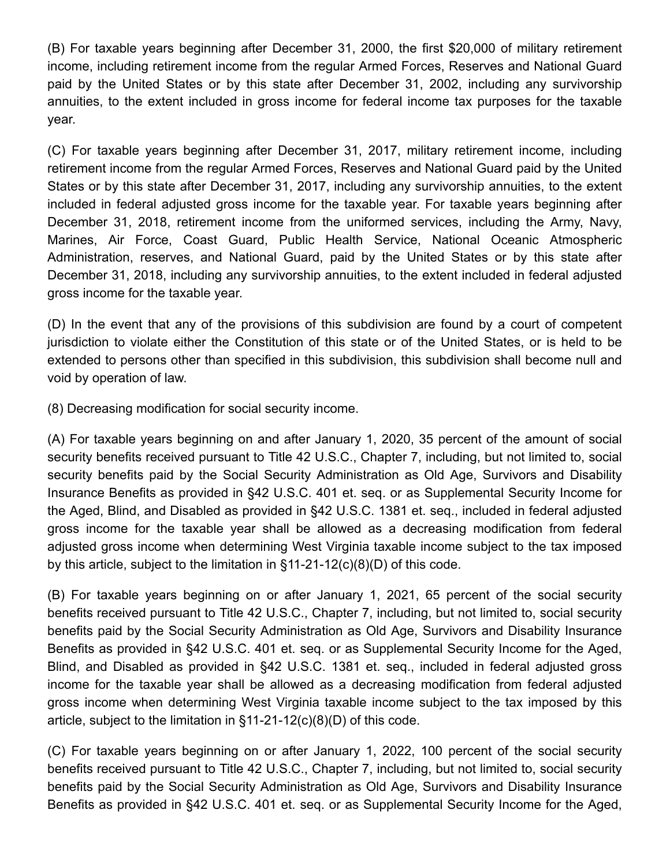(B) For taxable years beginning after December 31, 2000, the first \$20,000 of military retirement income, including retirement income from the regular Armed Forces, Reserves and National Guard paid by the United States or by this state after December 31, 2002, including any survivorship annuities, to the extent included in gross income for federal income tax purposes for the taxable year.

(C) For taxable years beginning after December 31, 2017, military retirement income, including retirement income from the regular Armed Forces, Reserves and National Guard paid by the United States or by this state after December 31, 2017, including any survivorship annuities, to the extent included in federal adjusted gross income for the taxable year. For taxable years beginning after December 31, 2018, retirement income from the uniformed services, including the Army, Navy, Marines, Air Force, Coast Guard, Public Health Service, National Oceanic Atmospheric Administration, reserves, and National Guard, paid by the United States or by this state after December 31, 2018, including any survivorship annuities, to the extent included in federal adjusted gross income for the taxable year.

(D) In the event that any of the provisions of this subdivision are found by a court of competent jurisdiction to violate either the Constitution of this state or of the United States, or is held to be extended to persons other than specified in this subdivision, this subdivision shall become null and void by operation of law.

(8) Decreasing modification for social security income.

(A) For taxable years beginning on and after January 1, 2020, 35 percent of the amount of social security benefits received pursuant to Title 42 U.S.C., Chapter 7, including, but not limited to, social security benefits paid by the Social Security Administration as Old Age, Survivors and Disability Insurance Benefits as provided in §42 U.S.C. 401 et. seq. or as Supplemental Security Income for the Aged, Blind, and Disabled as provided in §42 U.S.C. 1381 et. seq., included in federal adjusted gross income for the taxable year shall be allowed as a decreasing modification from federal adjusted gross income when determining West Virginia taxable income subject to the tax imposed by this article, subject to the limitation in §11-21-12(c)(8)(D) of this code.

(B) For taxable years beginning on or after January 1, 2021, 65 percent of the social security benefits received pursuant to Title 42 U.S.C., Chapter 7, including, but not limited to, social security benefits paid by the Social Security Administration as Old Age, Survivors and Disability Insurance Benefits as provided in §42 U.S.C. 401 et. seq. or as Supplemental Security Income for the Aged, Blind, and Disabled as provided in §42 U.S.C. 1381 et. seq., included in federal adjusted gross income for the taxable year shall be allowed as a decreasing modification from federal adjusted gross income when determining West Virginia taxable income subject to the tax imposed by this article, subject to the limitation in §11-21-12(c)(8)(D) of this code.

(C) For taxable years beginning on or after January 1, 2022, 100 percent of the social security benefits received pursuant to Title 42 U.S.C., Chapter 7, including, but not limited to, social security benefits paid by the Social Security Administration as Old Age, Survivors and Disability Insurance Benefits as provided in §42 U.S.C. 401 et. seq. or as Supplemental Security Income for the Aged,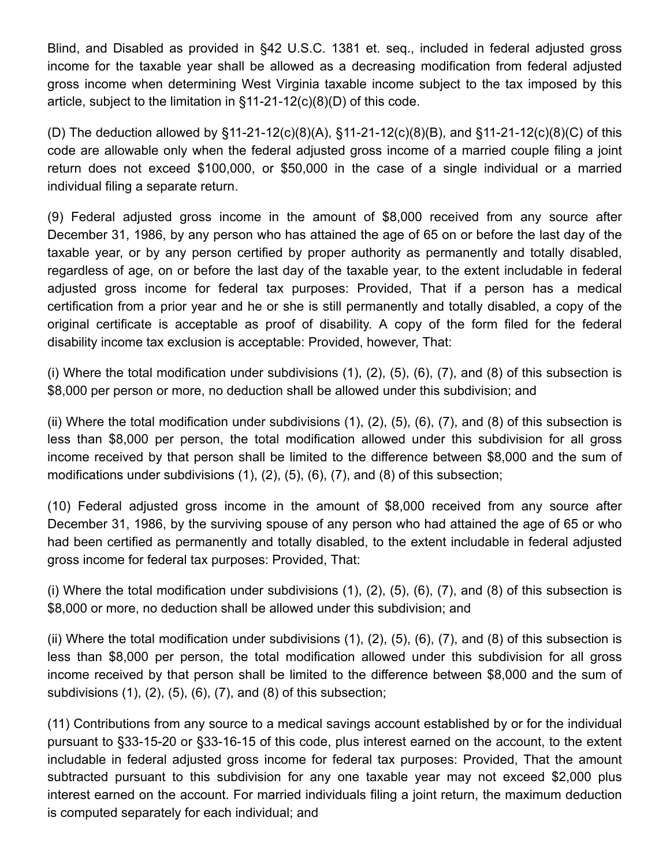Blind, and Disabled as provided in §42 U.S.C. 1381 et. seq., included in federal adjusted gross income for the taxable year shall be allowed as a decreasing modification from federal adjusted gross income when determining West Virginia taxable income subject to the tax imposed by this article, subject to the limitation in §11-21-12(c)(8)(D) of this code.

(D) The deduction allowed by §11-21-12(c)(8)(A), §11-21-12(c)(8)(B), and §11-21-12(c)(8)(C) of this code are allowable only when the federal adjusted gross income of a married couple filing a joint return does not exceed \$100,000, or \$50,000 in the case of a single individual or a married individual filing a separate return.

(9) Federal adjusted gross income in the amount of \$8,000 received from any source after December 31, 1986, by any person who has attained the age of 65 on or before the last day of the taxable year, or by any person certified by proper authority as permanently and totally disabled, regardless of age, on or before the last day of the taxable year, to the extent includable in federal adjusted gross income for federal tax purposes: Provided, That if a person has a medical certification from a prior year and he or she is still permanently and totally disabled, a copy of the original certificate is acceptable as proof of disability. A copy of the form filed for the federal disability income tax exclusion is acceptable: Provided, however, That:

(i) Where the total modification under subdivisions  $(1)$ ,  $(2)$ ,  $(5)$ ,  $(6)$ ,  $(7)$ , and  $(8)$  of this subsection is \$8,000 per person or more, no deduction shall be allowed under this subdivision; and

(ii) Where the total modification under subdivisions  $(1)$ ,  $(2)$ ,  $(5)$ ,  $(6)$ ,  $(7)$ , and  $(8)$  of this subsection is less than \$8,000 per person, the total modification allowed under this subdivision for all gross income received by that person shall be limited to the difference between \$8,000 and the sum of modifications under subdivisions (1), (2), (5), (6), (7), and (8) of this subsection;

(10) Federal adjusted gross income in the amount of \$8,000 received from any source after December 31, 1986, by the surviving spouse of any person who had attained the age of 65 or who had been certified as permanently and totally disabled, to the extent includable in federal adjusted gross income for federal tax purposes: Provided, That:

(i) Where the total modification under subdivisions (1), (2), (5), (6), (7), and (8) of this subsection is \$8,000 or more, no deduction shall be allowed under this subdivision; and

(ii) Where the total modification under subdivisions  $(1)$ ,  $(2)$ ,  $(5)$ ,  $(6)$ ,  $(7)$ , and  $(8)$  of this subsection is less than \$8,000 per person, the total modification allowed under this subdivision for all gross income received by that person shall be limited to the difference between \$8,000 and the sum of subdivisions (1), (2), (5), (6), (7), and (8) of this subsection;

(11) Contributions from any source to a medical savings account established by or for the individual pursuant to §33-15-20 or §33-16-15 of this code, plus interest earned on the account, to the extent includable in federal adjusted gross income for federal tax purposes: Provided, That the amount subtracted pursuant to this subdivision for any one taxable year may not exceed \$2,000 plus interest earned on the account. For married individuals filing a joint return, the maximum deduction is computed separately for each individual; and